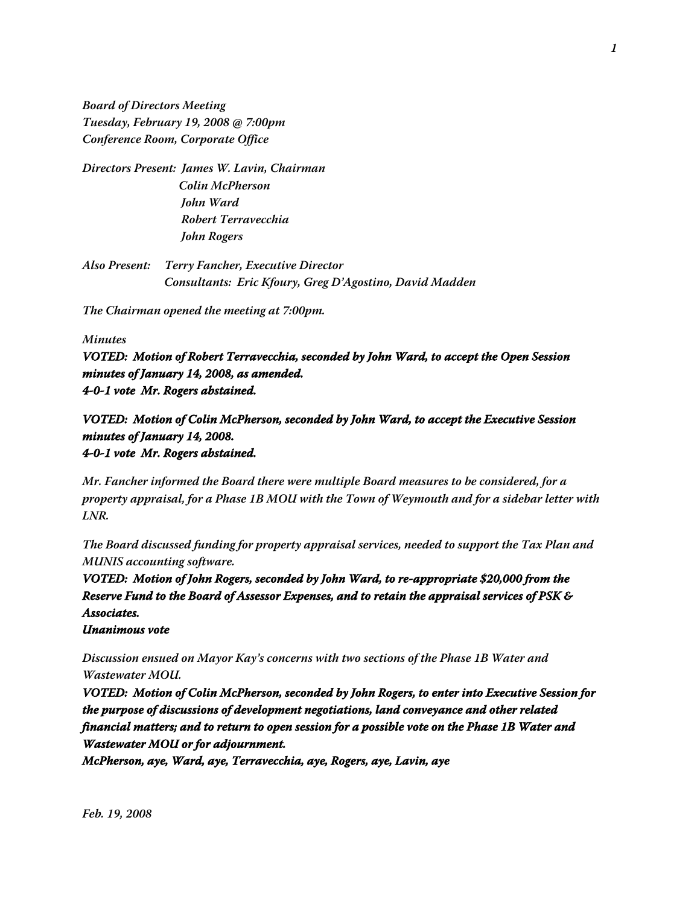**Board of Directors Meeting Tuesday, February 19, 2008 @ 7:00pm Conference Room, Corporate Office**

**Directors Present: James W. Lavin, Chairman Colin McPherson John Ward Robert Terravecchia John Rogers**

**Also Present: Terry Fancher, Executive Director Consultants: Eric Kfoury, Greg D'Agostino, David Madden**

**The Chairman opened the meeting at 7:00pm.**

## **Minutes**

**VOTED: Motion of Robert Terravecchia, seconded by John Ward, to accept the Open Session minutes of January 14, 2008, as amended. 4-0-1 vote Mr. Rogers abstained.**

## **VOTED: Motion of Colin McPherson, seconded by John Ward, to accept the Executive Session minutes of January 14, 2008. 4-0-1 vote Mr. Rogers abstained.**

**Mr. Fancher informed the Board there were multiple Board measures to be considered, for a property appraisal, for a Phase 1B MOU with the Town of Weymouth and for a sidebar letter with LNR.**

**The Board discussed funding for property appraisal services, needed to support the Tax Plan and MUNIS accounting software.**

**VOTED: Motion of John Rogers, seconded by John Ward, to re-appropriate \$20,000 from the Reserve Fund to the Board of Assessor Expenses, and to retain the appraisal services of PSK & Associates.**

**Unanimous vote**

**Discussion ensued on Mayor Kay's concerns with two sections of the Phase 1B Water and Wastewater MOU.**

**VOTED: Motion of Colin McPherson, seconded by John Rogers, to enter into Executive Session for the purpose of discussions of development negotiations, land conveyance and other related financial matters; and to return to open session for a possible vote on the Phase 1B Water and Wastewater MOU or for adjournment.**

**McPherson, aye, Ward, aye, Terravecchia, aye, Rogers, aye, Lavin, aye**